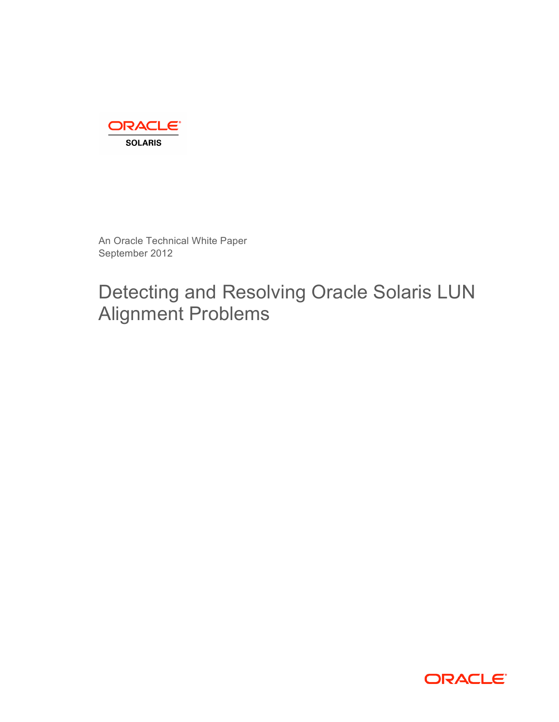

An Oracle Technical White Paper September 2012

Detecting and Resolving Oracle Solaris LUN Alignment Problems

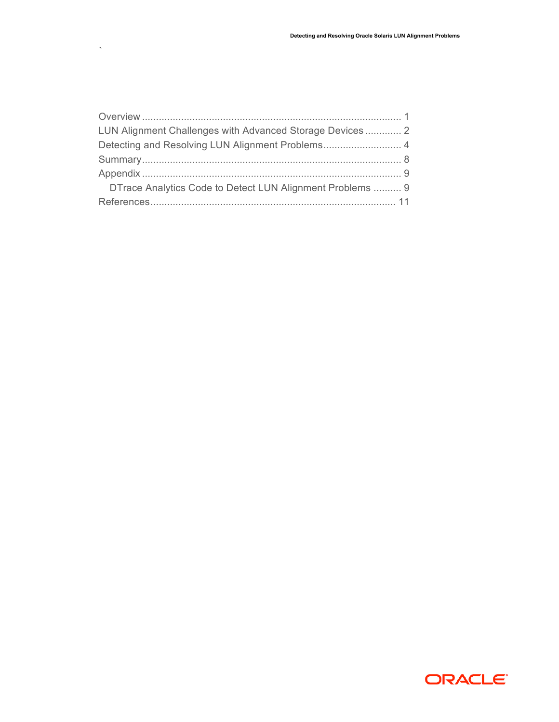| LUN Alignment Challenges with Advanced Storage Devices 2  |  |
|-----------------------------------------------------------|--|
|                                                           |  |
|                                                           |  |
|                                                           |  |
| DTrace Analytics Code to Detect LUN Alignment Problems  9 |  |
|                                                           |  |

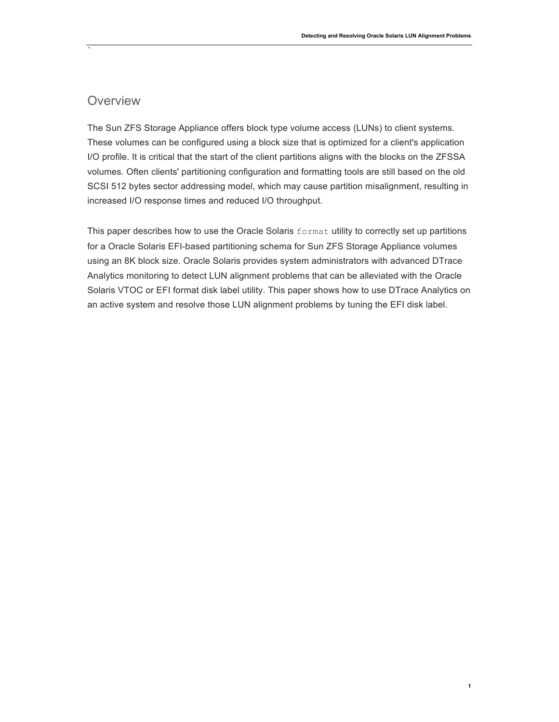## **Overview**

`

The Sun ZFS Storage Appliance offers block type volume access (LUNs) to client systems. These volumes can be configured using a block size that is optimized for a client's application I/O profile. It is critical that the start of the client partitions aligns with the blocks on the ZFSSA volumes. Often clients' partitioning configuration and formatting tools are still based on the old SCSI 512 bytes sector addressing model, which may cause partition misalignment, resulting in increased I/O response times and reduced I/O throughput.

This paper describes how to use the Oracle Solaris format utility to correctly set up partitions for a Oracle Solaris EFI-based partitioning schema for Sun ZFS Storage Appliance volumes using an 8K block size. Oracle Solaris provides system administrators with advanced DTrace Analytics monitoring to detect LUN alignment problems that can be alleviated with the Oracle Solaris VTOC or EFI format disk label utility. This paper shows how to use DTrace Analytics on an active system and resolve those LUN alignment problems by tuning the EFI disk label.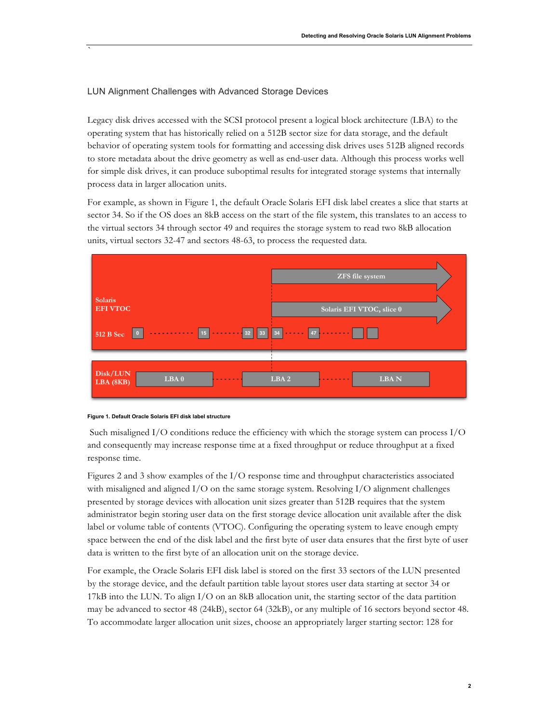## LUN Alignment Challenges with Advanced Storage Devices

`

Legacy disk drives accessed with the SCSI protocol present a logical block architecture (LBA) to the operating system that has historically relied on a 512B sector size for data storage, and the default behavior of operating system tools for formatting and accessing disk drives uses 512B aligned records to store metadata about the drive geometry as well as end-user data. Although this process works well for simple disk drives, it can produce suboptimal results for integrated storage systems that internally process data in larger allocation units.

For example, as shown in Figure 1, the default Oracle Solaris EFI disk label creates a slice that starts at sector 34. So if the OS does an 8kB access on the start of the file system, this translates to an access to the virtual sectors 34 through sector 49 and requires the storage system to read two 8kB allocation units, virtual sectors 32-47 and sectors 48-63, to process the requested data.



### **Figure 1. Default Oracle Solaris EFI disk label structure**

Such misaligned I/O conditions reduce the efficiency with which the storage system can process I/O and consequently may increase response time at a fixed throughput or reduce throughput at a fixed response time.

Figures 2 and 3 show examples of the I/O response time and throughput characteristics associated with misaligned and aligned  $I/O$  on the same storage system. Resolving  $I/O$  alignment challenges presented by storage devices with allocation unit sizes greater than 512B requires that the system administrator begin storing user data on the first storage device allocation unit available after the disk label or volume table of contents (VTOC). Configuring the operating system to leave enough empty space between the end of the disk label and the first byte of user data ensures that the first byte of user data is written to the first byte of an allocation unit on the storage device.

For example, the Oracle Solaris EFI disk label is stored on the first 33 sectors of the LUN presented by the storage device, and the default partition table layout stores user data starting at sector 34 or 17kB into the LUN. To align I/O on an 8kB allocation unit, the starting sector of the data partition may be advanced to sector 48 (24kB), sector 64 (32kB), or any multiple of 16 sectors beyond sector 48. To accommodate larger allocation unit sizes, choose an appropriately larger starting sector: 128 for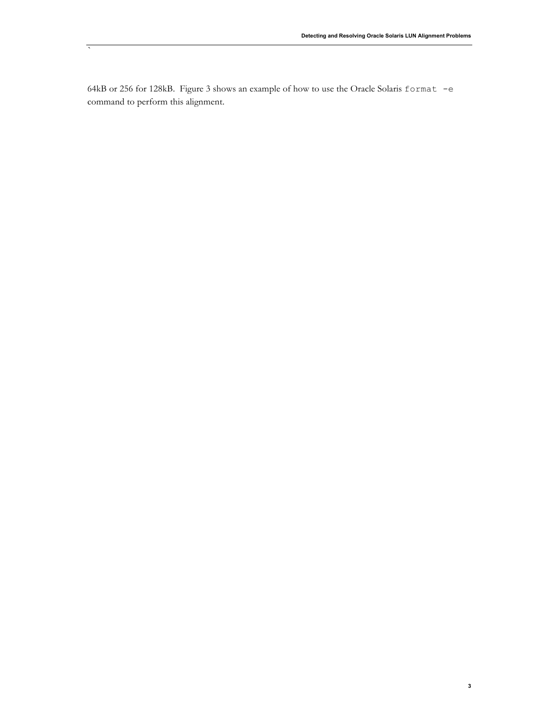64kB or 256 for 128kB. Figure 3 shows an example of how to use the Oracle Solaris format -e command to perform this alignment.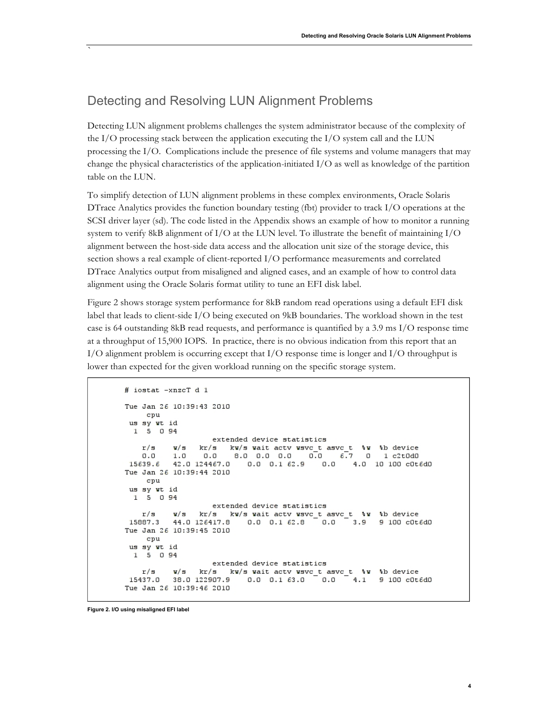# Detecting and Resolving LUN Alignment Problems

`

Detecting LUN alignment problems challenges the system administrator because of the complexity of the I/O processing stack between the application executing the I/O system call and the LUN processing the I/O. Complications include the presence of file systems and volume managers that may change the physical characteristics of the application-initiated I/O as well as knowledge of the partition table on the LUN.

To simplify detection of LUN alignment problems in these complex environments, Oracle Solaris DTrace Analytics provides the function boundary testing (fbt) provider to track I/O operations at the SCSI driver layer (sd). The code listed in the Appendix shows an example of how to monitor a running system to verify 8kB alignment of I/O at the LUN level. To illustrate the benefit of maintaining I/O alignment between the host-side data access and the allocation unit size of the storage device, this section shows a real example of client-reported I/O performance measurements and correlated DTrace Analytics output from misaligned and aligned cases, and an example of how to control data alignment using the Oracle Solaris format utility to tune an EFI disk label.

Figure 2 shows storage system performance for 8kB random read operations using a default EFI disk label that leads to client-side I/O being executed on 9kB boundaries. The workload shown in the test case is 64 outstanding 8kB read requests, and performance is quantified by a 3.9 ms I/O response time at a throughput of 15,900 IOPS. In practice, there is no obvious indication from this report that an I/O alignment problem is occurring except that I/O response time is longer and I/O throughput is lower than expected for the given workload running on the specific storage system.

```
# iostat -xnzcT d 1
Tue Jan 26 10:39:43 2010
    cpu
 us sy wt id
 15094extended device statistics
                kr/s kw/s wait actv wsvc_t asvc_t \frac{1}{2} w \frac{1}{2} b device<br>0.0 8.0 0.0 0.0 0.0 6.7 0 1 c2t0d0
   r/sw/s
          1.00.015639.6 42.0 124467.0 0.0 0.1 62.9 0.0 4.0 10 100 cOt6dO
Tue Jan 26 10:39:44 2010
    cpu
us sy wt id
 1 5 0 94
                   extended device statistics
          w/s kr/s kw/s wait actv wsvc_t asvc_t %w %b device
   r/s15887.3 44.0 126417.8 0.0 0.1 62.8 0.0 3.9 9 100 cOt6dO
Tue Jan 26 10:39:45 2010
    cpu
us sy wt id
 1 \quad 5 \quad 0 \quad 94extended device statistics
          w/s kr/s kw/s wait actv wsvc_t asvc_t %w %b device
   r/s15437.0 38.0 122907.9 0.0 0.1 63.0
                                           0.0 4.1 9 100 cOt6d0
Tue Jan 26 10:39:46 2010
```
**Figure 2. I/O using misaligned EFI label**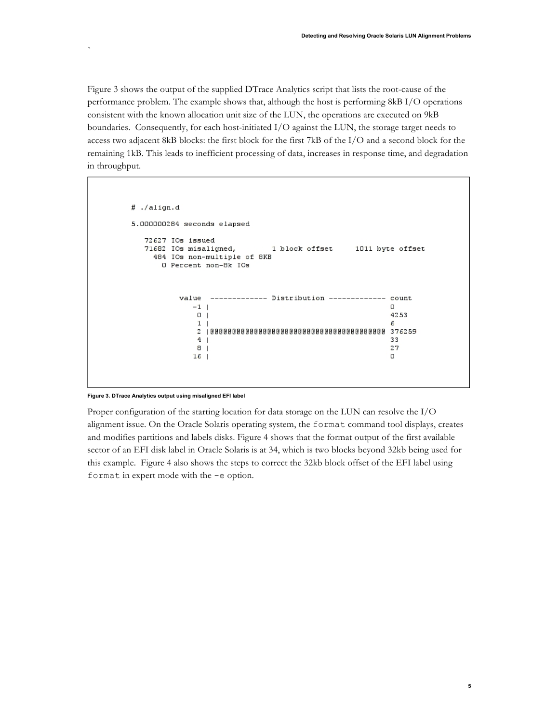Figure 3 shows the output of the supplied DTrace Analytics script that lists the root-cause of the performance problem. The example shows that, although the host is performing 8kB I/O operations consistent with the known allocation unit size of the LUN, the operations are executed on 9kB boundaries. Consequently, for each host-initiated I/O against the LUN, the storage target needs to access two adjacent 8kB blocks: the first block for the first 7kB of the I/O and a second block for the remaining 1kB. This leads to inefficient processing of data, increases in response time, and degradation in throughput.

```
# ./align.d
5.000000284 seconds elapsed
  72627 IOs issued
  71682 IOs misaligned,
                              1 block offset
                                                1011 byte offset
    484 IOs non-multiple of 8KB
      0 Percent non-8k IOs
          value
                ------------- Distribution ------------- count
             -1 +\Omega0<sub>1</sub>4253
              1<sub>1</sub>6
              4|133
              8<sub>1</sub>27
             16O
```
### **Figure 3. DTrace Analytics output using misaligned EFI label**

`

Proper configuration of the starting location for data storage on the LUN can resolve the I/O alignment issue. On the Oracle Solaris operating system, the format command tool displays, creates and modifies partitions and labels disks. Figure 4 shows that the format output of the first available sector of an EFI disk label in Oracle Solaris is at 34, which is two blocks beyond 32kb being used for this example. Figure 4 also shows the steps to correct the 32kb block offset of the EFI label using format in expert mode with the -e option.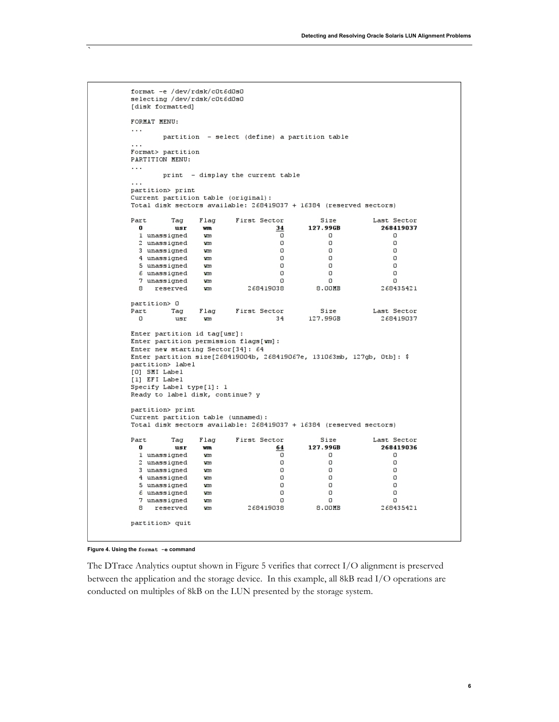```
format -e /dev/rdsk/c0t6d0s0
selecting /dev/rdsk/c0t6d0s0
[disk formatted]
FORMAT MENU:
\sim \sim \simpartition - select (define) a partition table
\cdotsFormat> partition
PARTITION MENU:
\ldotsprint - display the current table
\ldotspartition> print
Current partition table (original):
Total disk sectors available: 268419037 + 16384 (reserved sectors)
Part
            Tag
                    Flag
                               First Sector
                                                        Size
                                                                       Last Sector
  \mathbf{0}usr
                                                    127.99GB
                                                                         268419037
                     wm
                                          341 unassigned
                     wm
                                           \overline{\mathfrak{o}}\BoxO
                                                          O
  2 unassigned
                                           \BoxO
                     wm
  3 unassigned
                                           \Box\hbox{O}O
                     wm
  4 unassigned
                     wm
                                           \Box\Box\cup\Omega\Omega\Omega5 unassigned
                     wm
  6 unassigned
                     wm
                                           \Omega\Omega\Omega7 unassigned
                     wm
                                           \Omega\Omega\Omega8
      reserved
                     wm
                                  268419038
                                                       8.00MB
                                                                         268435421
partition> 0
                               First Sector
                                                        Size
                                                                       Last Sector
Part
                    Flag
           Tag
                                                    127.99GB
                                                                         268419037
  \cupusr
                     wm
                                          34
Enter partition id tag[usr]:
Enter partition permission flags[wm]:
Enter new starting Sector[34]: 64
Enter partition size[268419004b, 268419067e, 131063mb, 127gb, 0tb]: $
partition> label
[O] SMI Label
[1] EFI Label
Specify Label type[1]: 1
Ready to label disk, continue? y
partition> print
Current partition table (unnamed):
Total disk sectors available: 268419037 + 16384 (reserved sectors)
Part
            Tag
                    Flag
                               First Sector
                                                        Size
                                                                       Last Sector
  \boldsymbol{0}127.99GB
                                                                         268419036
            _{\rm usr}wm
                                          641 unassigned
                                           \overline{\mathfrak{o}}\Box\Boxwm
                                           \hbox{O}\hbox{O}O
  2 unassigned
                     wm
                                           \Omega\Omega3 unassigned
                     wm
                                                          \Omega\Omega\Box\Omega4 unassigned
                     wm
  5 unassigned
                     wm
                                           \Box\Box\Omega6 unassigned
                     wm
                                           \Box\BoxO
  7 unassigned
                                           \Omega\hbox{O}\Omegawm
                                                                         268435421
                                  268419038
                                                       8.00MB
  8
      reserved
                     wm
partition> quit
```
**Figure 4. Using the format -e command**

`

The DTrace Analytics ouptut shown in Figure 5 verifies that correct I/O alignment is preserved between the application and the storage device. In this example, all 8kB read I/O operations are conducted on multiples of 8kB on the LUN presented by the storage system.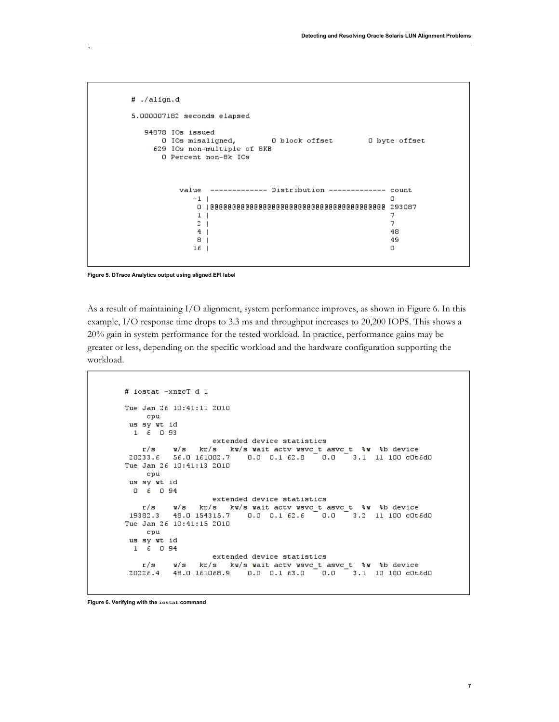```
# ./align.d
5.000007182 seconds elapsed
   94878 IOs issued
                                0 block offset
                                                 O byte offset
       0 IOs misaligned,
     629 IOs non-multiple of 8KB
       O Percent non-8k IOs
           value ------------- Distribution ------------- count
              -1 |
                                                             \Omega1 -\overline{7}2<sub>1</sub>\overline{7}4<sub>1</sub>48
                                                            49
               8<sub>1</sub>16<sub>1</sub>\cup
```
**Figure 5. DTrace Analytics output using aligned EFI label**

`

As a result of maintaining I/O alignment, system performance improves, as shown in Figure 6. In this example, I/O response time drops to 3.3 ms and throughput increases to 20,200 IOPS. This shows a 20% gain in system performance for the tested workload. In practice, performance gains may be greater or less, depending on the specific workload and the hardware configuration supporting the workload.

```
# iostat -xnzcT d 1
Tue Jan 26 10:41:11 2010
    cpu
\begin{array}{cc}\n\text{us sy wt id} \\
1 & 6 & 0 & 93\n\end{array}extended device statistics
    r/s
           w/s kr/s kw/s wait actv wsvc_t asvc_t %w %b device
r/s w/s kr/s kr<br>20233.6 56.0 161002.7
                           0.0 \t 0.162.80.0 3.1 11 100 cd6d0Tue Jan 26 10:41:13 2010
    cpu
 us sy wt id
 0 6 0 94extended device statistics
    r/sw/s kr/s kw/s wait actv wsvc_t asvc_t %w %b device
         W/S kr/s k<br>48.0154315.7<br>6.10:41:15.2010
 19382.3
                           0.0 0.1 62.6 0.0 3.2 11 100 c0t6d0Tue Jan 26 10:41:15 2010
    cpuus sy wt id
  16094extended device statistics
    r/sw/s kr/s kw/s wait actv wsvc_t asvc_t %w %b device
          48.0 161068.9
                           0.0 \t 0.163.00.0 3.1 10 100 c0t6d020226.4
```
**Figure 6. Verifying with the iostat command**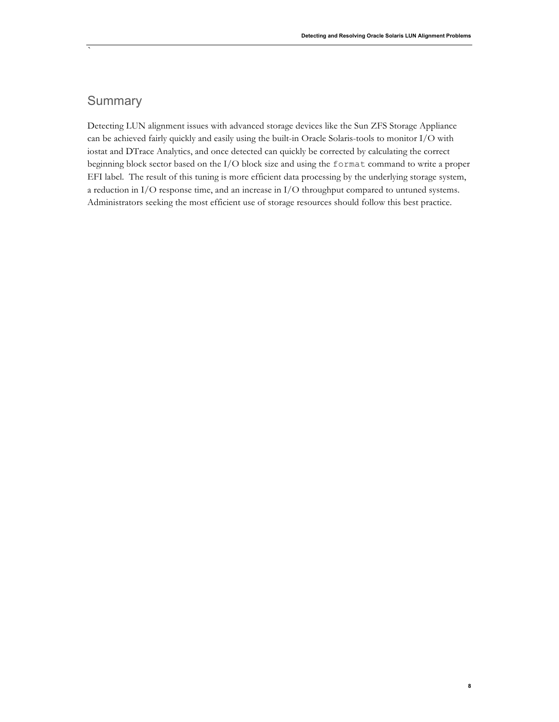# **Summary**

`

Detecting LUN alignment issues with advanced storage devices like the Sun ZFS Storage Appliance can be achieved fairly quickly and easily using the built-in Oracle Solaris-tools to monitor I/O with iostat and DTrace Analytics, and once detected can quickly be corrected by calculating the correct beginning block sector based on the I/O block size and using the format command to write a proper EFI label. The result of this tuning is more efficient data processing by the underlying storage system, a reduction in I/O response time, and an increase in I/O throughput compared to untuned systems. Administrators seeking the most efficient use of storage resources should follow this best practice.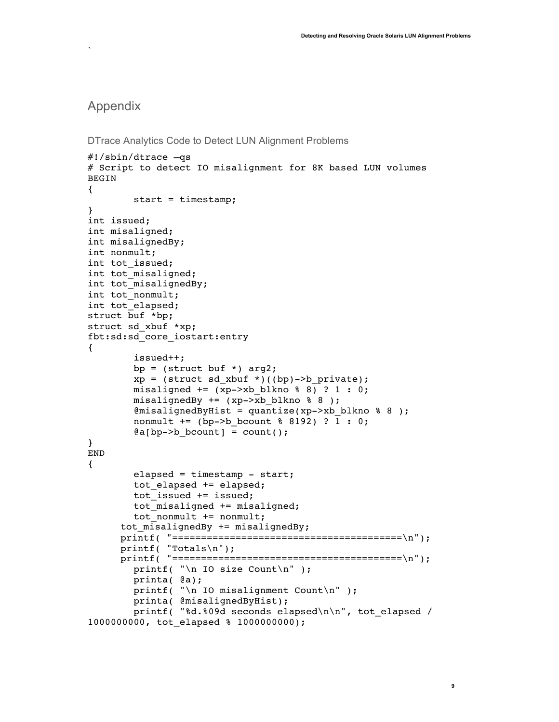## Appendix

```
DTrace Analytics Code to Detect LUN Alignment Problems
```

```
#!/sbin/dtrace –qs
# Script to detect IO misalignment for 8K based LUN volumes
BEGIN
{
         start = timestamp;
}
int issued;
int misaligned;
int misalignedBy;
int nonmult;
int tot issued;
int tot misaligned;
int tot_misalignedBy;
int tot_nonmult;
int tot_elapsed;
struct buf *bp;
struct sd_xbuf *xp;
fbt:sd:sd_core_iostart:entry
{
         issued++;
        bp = (struct but * ) arg2;xp = (struct sd_xbut *)((bp) -> b_private);misaligned += (xp->xb_blkno % 8) ? 1 : 0;
         misalignedBy += (xp->xb_blkno % 8 );
        % @misalignedByHist = quantize(xp->xb blkno % 8 );
         nonmult += (bp->b_bcount % 8192) ? 1 : 0;
        @a[bp->b] bcount] = count();
}
END
{
         elapsed = timestamp - start;
         tot_elapsed += elapsed;
         tot_issued += issued;
         tot_misaligned += misaligned;
         tot_nonmult += nonmult;
      tot misalignedBy += misalignedBy;
      printf( "========================================\n");
      printf( "Totals\n");
      printf( "========================================\n");
         printf( "\n IO size Count\n" );
         printa( @a);
        printf( "\n IO misalignment Count\n" );
         printa( @misalignedByHist);
         printf( "%d.%09d seconds elapsed\n\n", tot_elapsed / 
1000000000, tot_elapsed % 1000000000);
```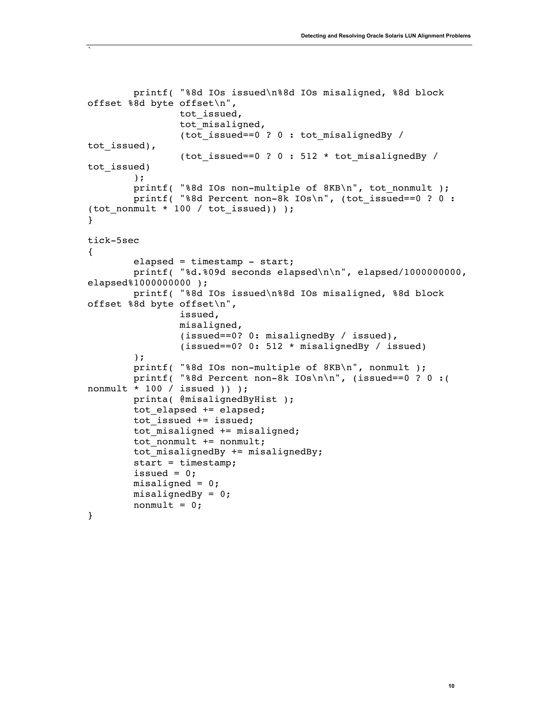```
 printf( "%8d IOs issued\n%8d IOs misaligned, %8d block 
offset %8d byte offset\n",
                tot issued,
                tot misaligned,
                  (tot_issued==0 ? 0 : tot_misalignedBy / 
tot issued),
                  (tot_issued==0 ? 0 : 512 * tot_misalignedBy / 
tot issued)
         );
         printf( "%8d IOs non-multiple of 8KB\n", tot_nonmult );
         printf( "%8d Percent non-8k IOs\n", (tot_issued==0 ? 0 : 
(tot nonmult * 100 / tot issued)) );
}
tick-5sec
{
         elapsed = timestamp - start;
         printf( "%d.%09d seconds elapsed\n\n", elapsed/1000000000, 
elapsed%1000000000);
         printf( "%8d IOs issued\n%8d IOs misaligned, %8d block 
offset %8d byte offset\n",
                 issued,
                 misaligned,
                 (issued==0? 0: misalignedBy / issued),
                  (issued==0? 0: 512 * misalignedBy / issued)
         );
         printf( "%8d IOs non-multiple of 8KB\n", nonmult );
         printf( "%8d Percent non-8k IOs\n\n", (issued==0 ? 0 :( 
nonmult * 100 / issued )) );
         printa( @misalignedByHist );
         tot_elapsed += elapsed;
        tot issued += issued;
         tot_misaligned += misaligned;
         tot_nonmult += nonmult;
        tot misalignedBy += misalignedBy;
         start = timestamp;
        issued = 0;misaligned = 0;
         misalignedBy = 0;
        nonmult = 0;}
```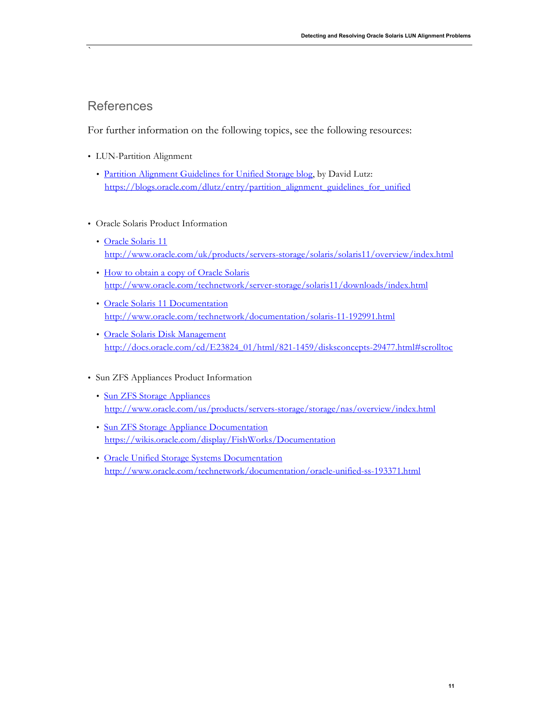# References

`

For further information on the following topics, see the following resources:

- LUN-Partition Alignment
	- Partition Alignment Guidelines for Unified Storage blog, by David Lutz: https://blogs.oracle.com/dlutz/entry/partition\_alignment\_guidelines\_for\_unified
- Oracle Solaris Product Information
	- Oracle Solaris 11 http://www.oracle.com/uk/products/servers-storage/solaris/solaris11/overview/index.html
	- How to obtain a copy of Oracle Solaris http://www.oracle.com/technetwork/server-storage/solaris11/downloads/index.html
	- Oracle Solaris 11 Documentation http://www.oracle.com/technetwork/documentation/solaris-11-192991.html
	- Oracle Solaris Disk Management http://docs.oracle.com/cd/E23824\_01/html/821-1459/disksconcepts-29477.html#scrolltoc
- Sun ZFS Appliances Product Information
	- Sun ZFS Storage Appliances http://www.oracle.com/us/products/servers-storage/storage/nas/overview/index.html
	- Sun ZFS Storage Appliance Documentation https://wikis.oracle.com/display/FishWorks/Documentation
	- Oracle Unified Storage Systems Documentation http://www.oracle.com/technetwork/documentation/oracle-unified-ss-193371.html